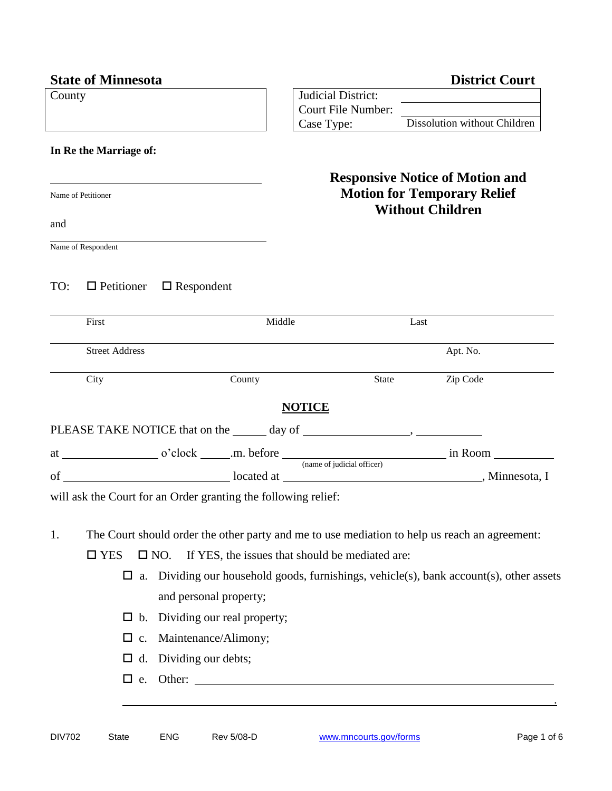|        | <b>State of Minnesota</b>                                                   |                                                                                               |                           |                           |                         | <b>District Court</b>                                                                |
|--------|-----------------------------------------------------------------------------|-----------------------------------------------------------------------------------------------|---------------------------|---------------------------|-------------------------|--------------------------------------------------------------------------------------|
| County |                                                                             |                                                                                               | <b>Judicial District:</b> |                           |                         |                                                                                      |
|        |                                                                             |                                                                                               |                           | <b>Court File Number:</b> |                         | Case Type: Dissolution without Children                                              |
|        |                                                                             |                                                                                               |                           |                           |                         |                                                                                      |
|        | In Re the Marriage of:                                                      |                                                                                               |                           |                           |                         |                                                                                      |
|        |                                                                             |                                                                                               |                           |                           |                         | <b>Responsive Notice of Motion and</b>                                               |
|        | Name of Petitioner                                                          |                                                                                               |                           |                           | <b>Without Children</b> | <b>Motion for Temporary Relief</b>                                                   |
| and    |                                                                             |                                                                                               |                           |                           |                         |                                                                                      |
|        | Name of Respondent                                                          |                                                                                               |                           |                           |                         |                                                                                      |
| TO:    |                                                                             | $\Box$ Petitioner $\Box$ Respondent                                                           |                           |                           |                         |                                                                                      |
|        | First                                                                       |                                                                                               | Middle                    |                           | Last                    |                                                                                      |
|        | <b>Street Address</b>                                                       |                                                                                               |                           |                           |                         | Apt. No.                                                                             |
|        | City                                                                        | County                                                                                        |                           |                           | State                   | Zip Code                                                                             |
|        |                                                                             |                                                                                               | <b>NOTICE</b>             |                           |                         |                                                                                      |
|        |                                                                             |                                                                                               |                           |                           |                         |                                                                                      |
|        |                                                                             |                                                                                               |                           |                           |                         |                                                                                      |
|        |                                                                             |                                                                                               |                           |                           |                         |                                                                                      |
|        |                                                                             | will ask the Court for an Order granting the following relief:                                |                           |                           |                         |                                                                                      |
| 1.     |                                                                             | The Court should order the other party and me to use mediation to help us reach an agreement: |                           |                           |                         |                                                                                      |
|        | If YES, the issues that should be mediated are:<br>$\Box$ YES<br>$\Box$ NO. |                                                                                               |                           |                           |                         |                                                                                      |
|        | $\Box$<br>a.                                                                |                                                                                               |                           |                           |                         | Dividing our household goods, furnishings, vehicle(s), bank account(s), other assets |
|        |                                                                             | and personal property;                                                                        |                           |                           |                         |                                                                                      |
|        | $\Box$                                                                      | b. Dividing our real property;                                                                |                           |                           |                         |                                                                                      |
|        | $\Box$                                                                      | c. Maintenance/Alimony;                                                                       |                           |                           |                         |                                                                                      |
|        | $\Box$                                                                      | d. Dividing our debts;                                                                        |                           |                           |                         |                                                                                      |
|        |                                                                             |                                                                                               |                           |                           |                         | e. Other:                                                                            |

L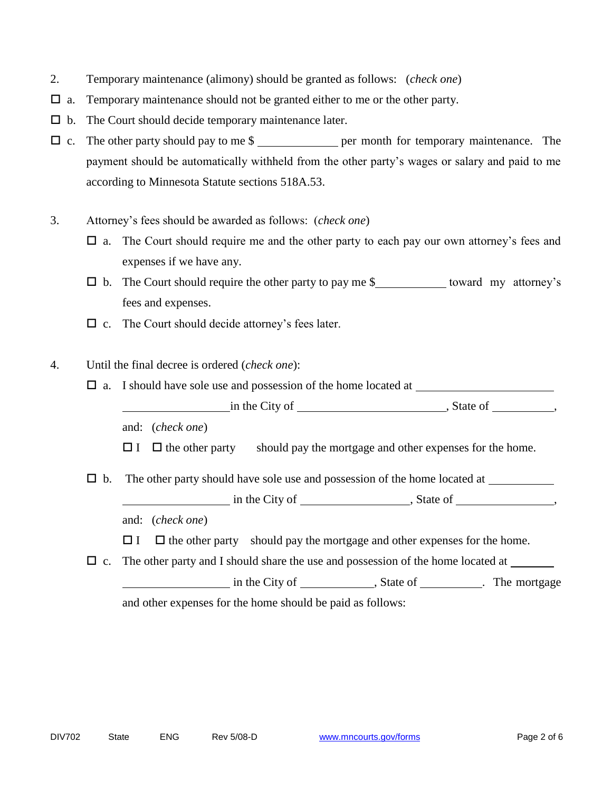- 2. Temporary maintenance (alimony) should be granted as follows: (*check one*)
- $\Box$  a. Temporary maintenance should not be granted either to me or the other party.
- $\Box$  b. The Court should decide temporary maintenance later.
- $\Box$  c. The other party should pay to me \$ per month for temporary maintenance. The payment should be automatically withheld from the other party's wages or salary and paid to me according to Minnesota Statute sections 518A.53.
- 3. Attorney's fees should be awarded as follows: (*check one*)
	- $\Box$  a. The Court should require me and the other party to each pay our own attorney's fees and expenses if we have any.
	- $\Box$  b. The Court should require the other party to pay me \$ toward my attorney's fees and expenses.
	- $\Box$  c. The Court should decide attorney's fees later.
- 4. Until the final decree is ordered (*check one*):
	- $\Box$  a. I should have sole use and possession of the home located at in the City of , State of , State of , State of ,  $\overline{\phantom{a}}$ 
		- and: (*check one*)
		- $\Box$  I  $\Box$  the other party should pay the mortgage and other expenses for the home.
	- $\Box$  b. The other party should have sole use and possession of the home located at  $\Box$

in the City of , State of , State of , State of , State of , State of , State  $\frac{1}{2}$ , State of , State of , State  $\frac{1}{2}$ , State of , State  $\frac{1}{2}$ , State of , State of , State of , State of , State of , State of ,

and: (*check one*)

- $\Box$  I  $\Box$  the other party should pay the mortgage and other expenses for the home.
- $\Box$  c. The other party and I should share the use and possession of the home located at

in the City of , State of . The mortgage and other expenses for the home should be paid as follows: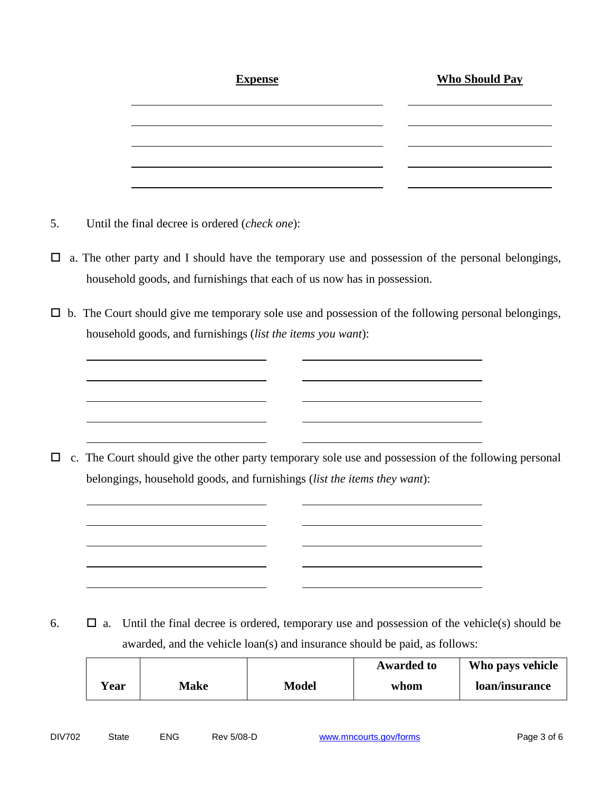| <b>Expense</b> | <b>Who Should Pay</b> |
|----------------|-----------------------|
|                |                       |
|                |                       |
|                |                       |
|                |                       |

- 5. Until the final decree is ordered (*check one*):
- $\Box$  a. The other party and I should have the temporary use and possession of the personal belongings, household goods, and furnishings that each of us now has in possession.
- $\Box$  b. The Court should give me temporary sole use and possession of the following personal belongings, household goods, and furnishings (*list the items you want*):

 $\Box$  c. The Court should give the other party temporary sole use and possession of the following personal belongings, household goods, and furnishings (*list the items they want*):

6.  $\Box$  a. Until the final decree is ordered, temporary use and possession of the vehicle(s) should be awarded, and the vehicle loan(s) and insurance should be paid, as follows:

|      |             |       | <b>Awarded to</b> | Who pays vehicle |
|------|-------------|-------|-------------------|------------------|
| Year | <b>Make</b> | Model | whom              | loan/insurance   |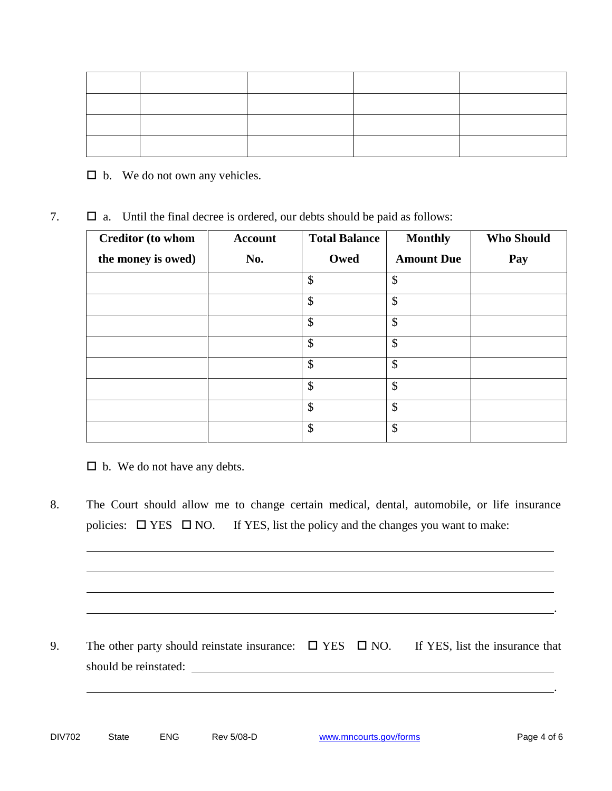$\square$  b. We do not own any vehicles.

| $\Box$ a. Until the final decree is ordered, our debts should be paid as follows: |
|-----------------------------------------------------------------------------------|
|-----------------------------------------------------------------------------------|

| <b>Creditor (to whom</b> | <b>Account</b> | <b>Total Balance</b> | <b>Monthly</b>    | <b>Who Should</b> |
|--------------------------|----------------|----------------------|-------------------|-------------------|
| the money is owed)       | No.            | Owed                 | <b>Amount Due</b> | Pay               |
|                          |                | \$                   | \$                |                   |
|                          |                | \$                   | \$                |                   |
|                          |                | \$                   | \$                |                   |
|                          |                | \$                   | $\$\$             |                   |
|                          |                | \$                   | \$                |                   |
|                          |                | \$                   | \$                |                   |
|                          |                | \$                   | $\mathcal{S}$     |                   |
|                          |                | \$                   | \$                |                   |

 $\Box$  b. We do not have any debts.

8. The Court should allow me to change certain medical, dental, automobile, or life insurance policies:  $\Box$  YES  $\Box$  NO. If YES, list the policy and the changes you want to make:

9. The other party should reinstate insurance:  $\square$  YES  $\square$  NO. If YES, list the insurance that should be reinstated: <u>should</u> be reinstated:

.

.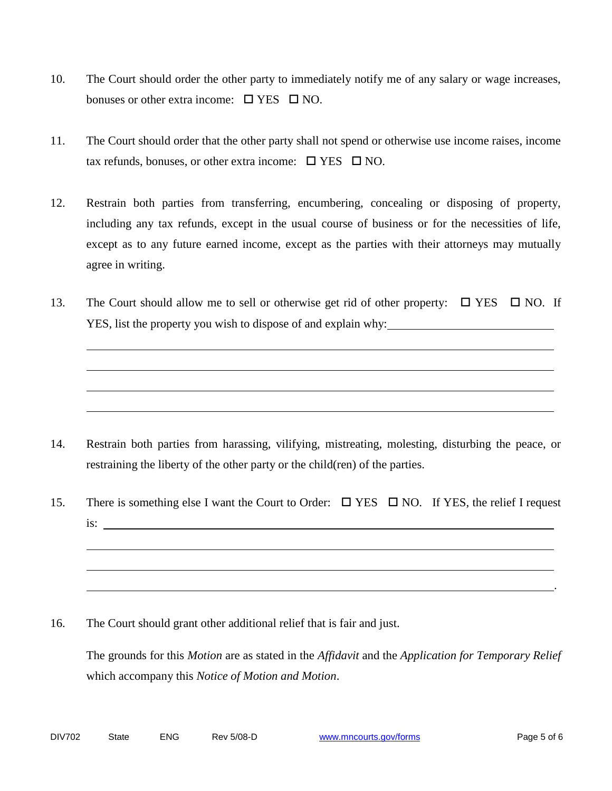- 10. The Court should order the other party to immediately notify me of any salary or wage increases, bonuses or other extra income:  $\Box$  YES  $\Box$  NO.
- 11. The Court should order that the other party shall not spend or otherwise use income raises, income tax refunds, bonuses, or other extra income:  $\Box$  YES  $\Box$  NO.
- 12. Restrain both parties from transferring, encumbering, concealing or disposing of property, including any tax refunds, except in the usual course of business or for the necessities of life, except as to any future earned income, except as the parties with their attorneys may mutually agree in writing.
- 13. The Court should allow me to sell or otherwise get rid of other property:  $\Box$  YES  $\Box$  NO. If YES, list the property you wish to dispose of and explain why:

- 14. Restrain both parties from harassing, vilifying, mistreating, molesting, disturbing the peace, or restraining the liberty of the other party or the child(ren) of the parties.
- 15. There is something else I want the Court to Order:  $\Box$  YES  $\Box$  NO. If YES, the relief I request is:
- 16. The Court should grant other additional relief that is fair and just.

The grounds for this *Motion* are as stated in the *Affidavit* and the *Application for Temporary Relief* which accompany this *Notice of Motion and Motion*.

.